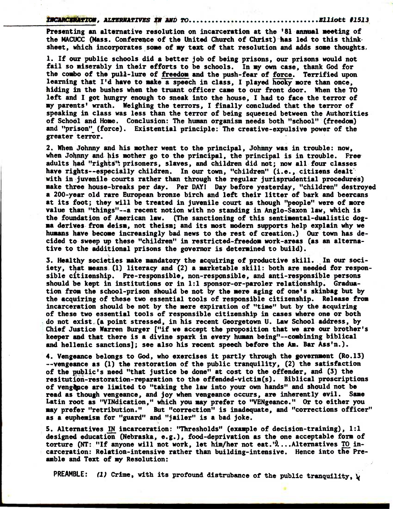**ticanexiknow, ALTERNATIVES AN ARO TO Elliott #1513** 

**Presenting an alternative resolution on incarceration at the '01 annual meeting of the NACUCC (Hass. Conference of the United Church of Christ) has led to this thinksheet, which incorporates some of my text of that resolution and adds some thoughts,** 

**1. If our public schools did a better job of being prisons, our prisons would not fail so miserably in their efforts to be schools. In my own case, thank God for the combo of the pull-lure of freedomand the push-fear of force. Terrified upon**  learning that I'd have to make a speech in class, I played hooky more than once, **hiding in the bushes when the truant officer came to our front door. When the TO left and I got hungry enough to sneak into the house, I had to face the terror of my parents' wrath. Weighing the terrors, I finally concluded that the terror of speaking in class was less than the terror of being squeezed between the Authorities of School and Home. Conclusion: The human organism needs both "school" (freedom) and "prison" (force). Existential principle: The creative-expulsive power of the**  greater terror.

**2. When Johnny and his mother went to the principal, Johnny was in trouble: now,**  when Johnny and his mother go to the principal, the principal is in trouble. Free **adults had "rights": prisoners, slaves, and children did not; now all four classes**  have rights--especially children. In our town, "children" (i.e., citizens dealt<sup>\*</sup> **with in juvenile courts rather than through the regular jurisprudential procedures) make three house-breaks per day. Per DAY1 Day before yesterday, "children" destroyed a 200-year old rare European bronze birch and left their litter of bark and beercans at its foot; they will be treated in juvenile court as though "people" were of more value than "things"--a recent notion with no standing in Anglo-Saxon law, which is the foundation of American law. (The sanctioning of this sentimental-dualistic dogma derives from deism, not theism; and its most modern supports help explain why we humans have become increasingly bad news to the rest of creation.) Our town has decided to sweep up these "children" in restricted-freedom work-areas (as an alternative to the additional prisons the governor is determined to build).** 

**3. Healthy societies make mandatory the acquiring of productive skill. In our sociiety, that means (1) literacy and (2) a marketable skill: both are needed for responsible citizenship. Pre-responsible, non-responsible, and anti-responsible persons should be kept in institutions or in 1:1 sponsor-or-paroler relationship. Graduation from the school-prison should be not by the mere aging of one's skinbag but by the acquiring of these two essential tools of responsible citizenship. Release from incarceration should be not by the mere expiration of "time" but by the acquiring of these two essential tools of responsible citizenship in cases where one or both do not exist (a point stressed, in his recent Georgetown U. Law School address, by Chief Justice Warren Burger ["if we accept the proposition that we are our brother's keeper and that there is a divine spark in every human being"--combining biblical and hellenic sanctions]; see also his recent speech before the Am. Bar Ass'n.).** 

**4. Vengeance belongs to God, who exercises it partly through the government (Ro.13) --vengeance as (1) the restoration of the public tranquility, (2) the satisfaction of the public's need "that justice be done" at cost to the offender, and (3) the resitution-restoration-reparation to the offended-victim(s). Biblical proscriptions**  of vengence are limited to "taking the law into your own hands" and should not be **read as though vengeance, and joy when vengeance occurs, are inherently evil. Same Latin root as "VINdication," which you may prefer to "VENgeance." Or to either you may prefer "retribution." But "correction" is inadequate, and "corrections officer" as a euphemism for "guard" and "jailer" is a bad joke.** 

5. Alternatives IN incarceration: "Thresholds" (example of decision-training), 1:1 **designed education (Nebraska, e.g.), food-deprivation as the one acceptable form of**  torture (NT: "If anyone will not work, let him/her not eat.")...Alternatives TO in**carceration: Relation-intensive rather than building-intensive. Hence into the Preamble and Text of my Resolution:** 

**PREAMBLE: (1) Crime, with its profound distrubance of the public tranquility, 4**